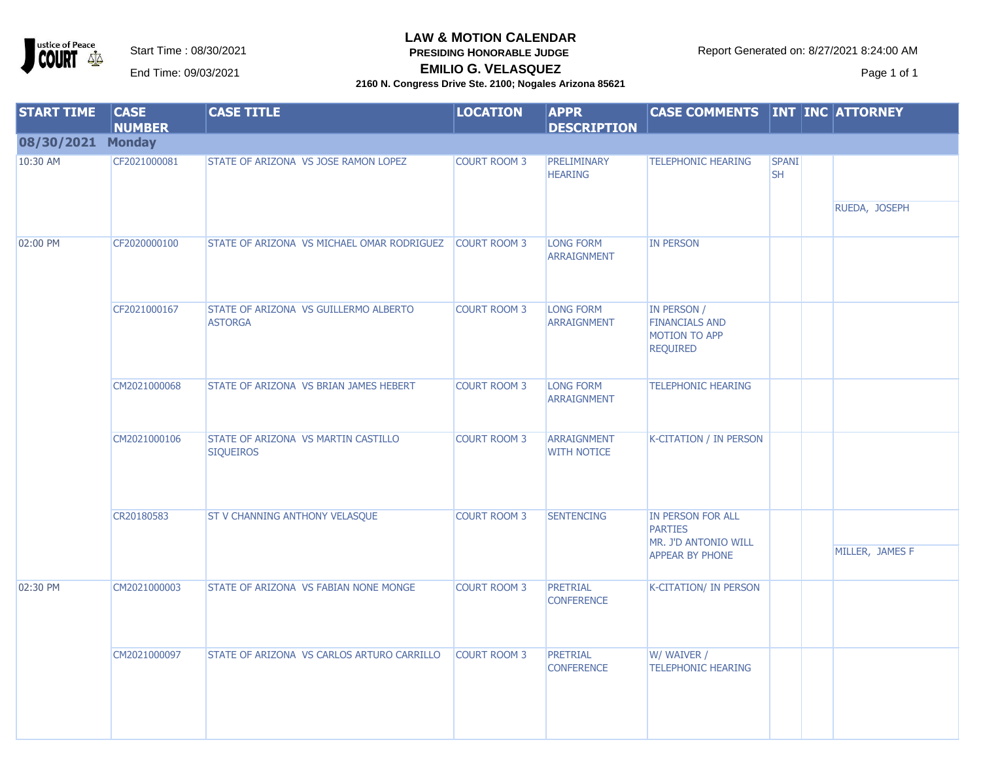ustice of Peace **OURT**  $\Delta \Delta$ 

### **LAW & MOTION CALENDAR**

**PRESIDING HONORABLE JUDGE** 

**EMILIO G. VELASQUEZ** EMILIO G. VELASQUEZ ENTERTAINMENT Page 1 of 1

| <b>START TIME</b> | <b>CASE</b><br><b>NUMBER</b> | <b>CASE TITLE</b>                                       | <b>LOCATION</b>     | <b>APPR</b><br><b>DESCRIPTION</b>        | <b>CASE COMMENTS INT INC ATTORNEY</b>                                    |                           |                 |
|-------------------|------------------------------|---------------------------------------------------------|---------------------|------------------------------------------|--------------------------------------------------------------------------|---------------------------|-----------------|
| 08/30/2021 Monday |                              |                                                         |                     |                                          |                                                                          |                           |                 |
| 10:30 AM          | CF2021000081                 | STATE OF ARIZONA VS JOSE RAMON LOPEZ                    | <b>COURT ROOM 3</b> | PRELIMINARY<br><b>HEARING</b>            | <b>TELEPHONIC HEARING</b>                                                | <b>SPANI</b><br><b>SH</b> |                 |
|                   |                              |                                                         |                     |                                          |                                                                          |                           | RUEDA, JOSEPH   |
| 02:00 PM          | CF2020000100                 | STATE OF ARIZONA VS MICHAEL OMAR RODRIGUEZ              | <b>COURT ROOM 3</b> | <b>LONG FORM</b><br><b>ARRAIGNMENT</b>   | <b>IN PERSON</b>                                                         |                           |                 |
|                   | CF2021000167                 | STATE OF ARIZONA VS GUILLERMO ALBERTO<br><b>ASTORGA</b> | <b>COURT ROOM 3</b> | <b>LONG FORM</b><br><b>ARRAIGNMENT</b>   | IN PERSON /<br><b>FINANCIALS AND</b><br>MOTION TO APP<br><b>REQUIRED</b> |                           |                 |
|                   | CM2021000068                 | STATE OF ARIZONA VS BRIAN JAMES HEBERT                  | <b>COURT ROOM 3</b> | <b>LONG FORM</b><br><b>ARRAIGNMENT</b>   | <b>TELEPHONIC HEARING</b>                                                |                           |                 |
|                   | CM2021000106                 | STATE OF ARIZONA VS MARTIN CASTILLO<br><b>SIQUEIROS</b> | <b>COURT ROOM 3</b> | <b>ARRAIGNMENT</b><br><b>WITH NOTICE</b> | <b>K-CITATION / IN PERSON</b>                                            |                           |                 |
|                   | CR20180583                   | <b>ST V CHANNING ANTHONY VELASQUE</b>                   | <b>COURT ROOM 3</b> | <b>SENTENCING</b>                        | IN PERSON FOR ALL<br><b>PARTIES</b><br>MR. J'D ANTONIO WILL              |                           |                 |
|                   |                              |                                                         |                     |                                          | <b>APPEAR BY PHONE</b>                                                   |                           | MILLER, JAMES F |
| 02:30 PM          | CM2021000003                 | STATE OF ARIZONA VS FABIAN NONE MONGE                   | <b>COURT ROOM 3</b> | PRETRIAL<br><b>CONFERENCE</b>            | <b>K-CITATION/ IN PERSON</b>                                             |                           |                 |
|                   | CM2021000097                 | STATE OF ARIZONA VS CARLOS ARTURO CARRILLO              | <b>COURT ROOM 3</b> | PRETRIAL<br><b>CONFERENCE</b>            | W/ WAIVER /<br><b>TELEPHONIC HEARING</b>                                 |                           |                 |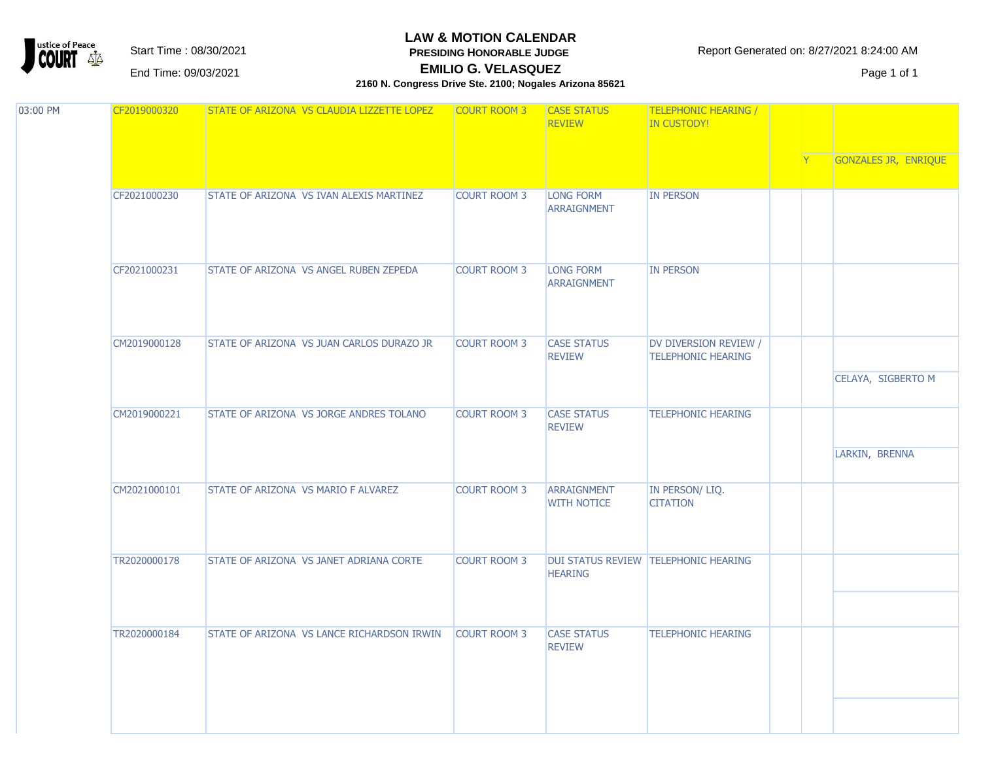ustice of Peace  $\Delta \Delta$ 

#### **LAW & MOTION CALENDAR PRESIDING HONORABLE JUDGE**

Start Time : 08/30/2021 **Report Generated on: 8/27/2021 8:24:00 AM** 

**EMILIO G. VELASQUEZ** EMILIO G. VELASQUEZ ENTERTAINMENT Page 1 of 1

| 03:00 PM | CF2019000320 | STATE OF ARIZONA VS CLAUDIA LIZZETTE LOPEZ | <b>COURT ROOM 3</b> | <b>CASE STATUS</b><br><b>REVIEW</b>    | <b>TELEPHONIC HEARING /</b><br><b>IN CUSTODY!</b>  |  | GONZALES JR, ENRIQUE |
|----------|--------------|--------------------------------------------|---------------------|----------------------------------------|----------------------------------------------------|--|----------------------|
|          |              |                                            |                     |                                        |                                                    |  |                      |
|          | CF2021000230 | STATE OF ARIZONA VS IVAN ALEXIS MARTINEZ   | <b>COURT ROOM 3</b> | <b>LONG FORM</b><br><b>ARRAIGNMENT</b> | <b>IN PERSON</b>                                   |  |                      |
|          | CF2021000231 | STATE OF ARIZONA VS ANGEL RUBEN ZEPEDA     | <b>COURT ROOM 3</b> | LONG FORM<br>ARRAIGNMENT               | <b>IN PERSON</b>                                   |  |                      |
|          | CM2019000128 | STATE OF ARIZONA VS JUAN CARLOS DURAZO JR  | <b>COURT ROOM 3</b> | <b>CASE STATUS</b><br><b>REVIEW</b>    | DV DIVERSION REVIEW /<br><b>TELEPHONIC HEARING</b> |  | CELAYA, SIGBERTO M   |
|          | CM2019000221 | STATE OF ARIZONA VS JORGE ANDRES TOLANO    | <b>COURT ROOM 3</b> | <b>CASE STATUS</b><br><b>REVIEW</b>    | <b>TELEPHONIC HEARING</b>                          |  | LARKIN, BRENNA       |
|          | CM2021000101 | STATE OF ARIZONA VS MARIO F ALVAREZ        | <b>COURT ROOM 3</b> | ARRAIGNMENT<br><b>WITH NOTICE</b>      | IN PERSON/ LIQ.<br><b>CITATION</b>                 |  |                      |
|          | TR2020000178 | STATE OF ARIZONA VS JANET ADRIANA CORTE    | <b>COURT ROOM 3</b> | <b>HEARING</b>                         | DUI STATUS REVIEW TELEPHONIC HEARING               |  |                      |
|          | TR2020000184 | STATE OF ARIZONA VS LANCE RICHARDSON IRWIN | <b>COURT ROOM 3</b> | <b>CASE STATUS</b><br><b>REVIEW</b>    | <b>TELEPHONIC HEARING</b>                          |  |                      |
|          |              |                                            |                     |                                        |                                                    |  |                      |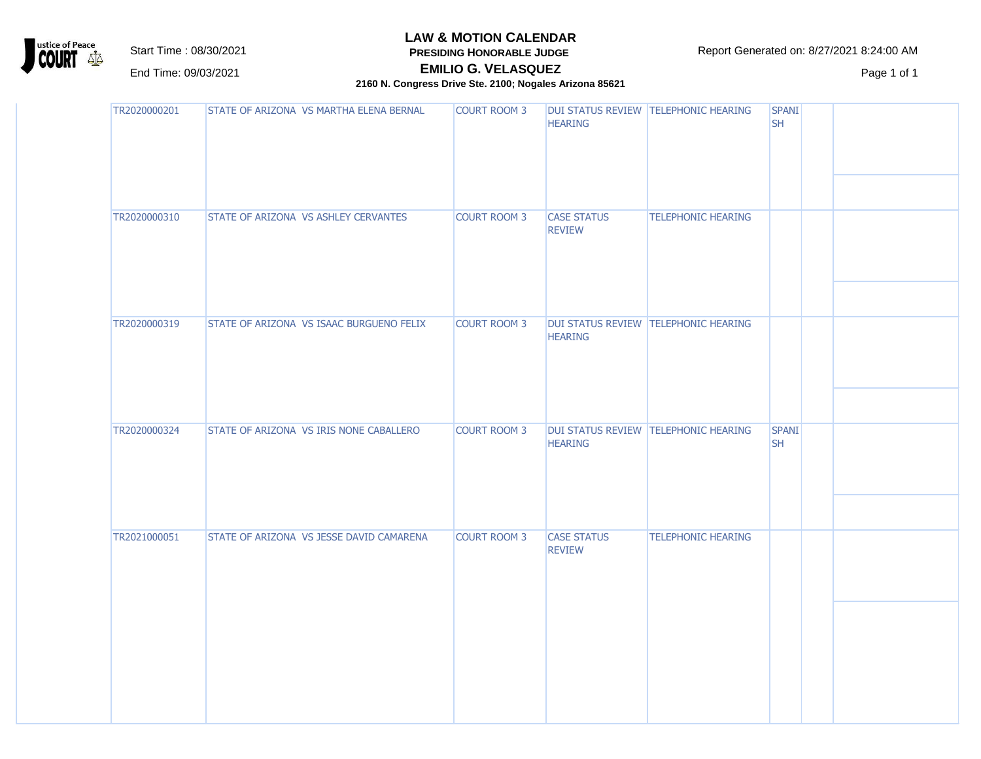

**PRESIDING HONORABLE JUDGE EMILIO G. VELASQUEZ**

Start Time : 08/30/2021 **Report Generated on: 8/27/2021 8:24:00 AM** 

EMILIO G. VELASQUEZ ENTERTAINMENT Page 1 of 1

| TR2020000201 | STATE OF ARIZONA VS MARTHA ELENA BERNAL  | <b>COURT ROOM 3</b> | <b>HEARING</b>                      | DUI STATUS REVIEW TELEPHONIC HEARING | <b>SPANI</b><br><b>SH</b> |  |
|--------------|------------------------------------------|---------------------|-------------------------------------|--------------------------------------|---------------------------|--|
| TR2020000310 | STATE OF ARIZONA VS ASHLEY CERVANTES     | <b>COURT ROOM 3</b> | <b>CASE STATUS</b><br><b>REVIEW</b> | <b>TELEPHONIC HEARING</b>            |                           |  |
| TR2020000319 | STATE OF ARIZONA VS ISAAC BURGUENO FELIX | <b>COURT ROOM 3</b> | <b>HEARING</b>                      | DUI STATUS REVIEW TELEPHONIC HEARING |                           |  |
| TR2020000324 | STATE OF ARIZONA VS IRIS NONE CABALLERO  | <b>COURT ROOM 3</b> | <b>HEARING</b>                      | DUI STATUS REVIEW TELEPHONIC HEARING | <b>SPANI</b><br><b>SH</b> |  |
| TR2021000051 | STATE OF ARIZONA VS JESSE DAVID CAMARENA | <b>COURT ROOM 3</b> | <b>CASE STATUS</b><br><b>REVIEW</b> | <b>TELEPHONIC HEARING</b>            |                           |  |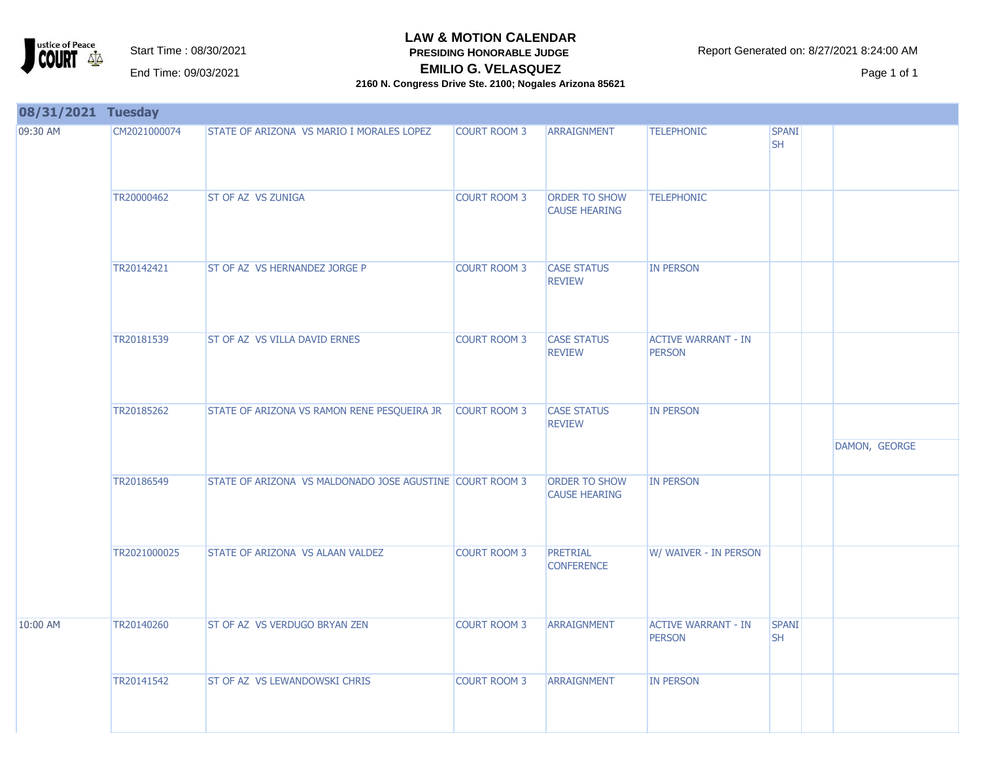

**PRESIDING HONORABLE JUDGE** 

Start Time : 08/30/2021 **Report Generated on: 8/27/2021 8:24:00 AM** 

**EMILIO G. VELASQUEZ** EMILIO G. VELASQUEZ ENTERTAINMENT Page 1 of 1

| 08/31/2021 Tuesday |              |                                                          |                     |                                              |                                             |                           |               |
|--------------------|--------------|----------------------------------------------------------|---------------------|----------------------------------------------|---------------------------------------------|---------------------------|---------------|
| 09:30 AM           | CM2021000074 | STATE OF ARIZONA VS MARIO I MORALES LOPEZ                | <b>COURT ROOM 3</b> | <b>ARRAIGNMENT</b>                           | <b>TELEPHONIC</b>                           | <b>SPANI</b><br><b>SH</b> |               |
|                    | TR20000462   | <b>ST OF AZ VS ZUNIGA</b>                                | <b>COURT ROOM 3</b> | <b>ORDER TO SHOW</b><br><b>CAUSE HEARING</b> | <b>TELEPHONIC</b>                           |                           |               |
|                    | TR20142421   | <b>ST OF AZ VS HERNANDEZ JORGE P</b>                     | <b>COURT ROOM 3</b> | <b>CASE STATUS</b><br><b>REVIEW</b>          | <b>IN PERSON</b>                            |                           |               |
|                    | TR20181539   | ST OF AZ VS VILLA DAVID ERNES                            | <b>COURT ROOM 3</b> | <b>CASE STATUS</b><br><b>REVIEW</b>          | <b>ACTIVE WARRANT - IN</b><br><b>PERSON</b> |                           |               |
|                    | TR20185262   | STATE OF ARIZONA VS RAMON RENE PESQUEIRA JR              | <b>COURT ROOM 3</b> | <b>CASE STATUS</b><br><b>REVIEW</b>          | <b>IN PERSON</b>                            |                           | DAMON, GEORGE |
|                    | TR20186549   | STATE OF ARIZONA VS MALDONADO JOSE AGUSTINE COURT ROOM 3 |                     | ORDER TO SHOW<br><b>CAUSE HEARING</b>        | <b>IN PERSON</b>                            |                           |               |
|                    | TR2021000025 | STATE OF ARIZONA VS ALAAN VALDEZ                         | <b>COURT ROOM 3</b> | PRETRIAL<br><b>CONFERENCE</b>                | W/ WAIVER - IN PERSON                       |                           |               |
| 10:00 AM           | TR20140260   | ST OF AZ VS VERDUGO BRYAN ZEN                            | <b>COURT ROOM 3</b> | ARRAIGNMENT                                  | <b>ACTIVE WARRANT - IN</b><br><b>PERSON</b> | <b>SPANI</b><br><b>SH</b> |               |
|                    | TR20141542   | <b>ST OF AZ VS LEWANDOWSKI CHRIS</b>                     | <b>COURT ROOM 3</b> | ARRAIGNMENT                                  | <b>IN PERSON</b>                            |                           |               |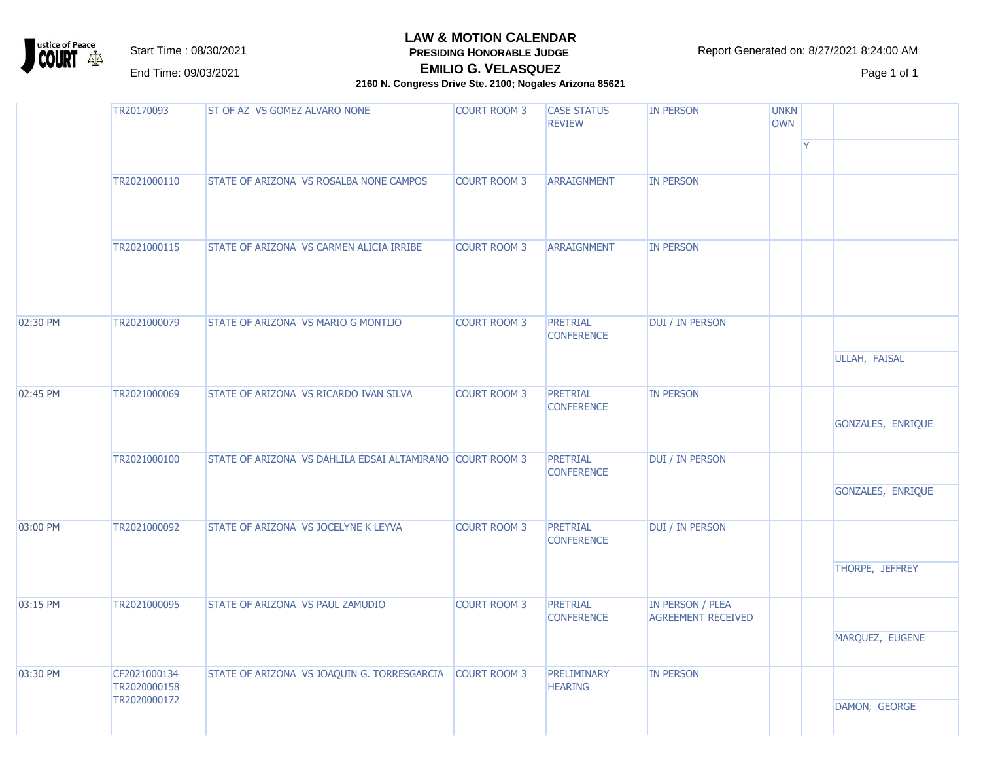ustice of Peace  $\Delta \Delta$ 

**LAW & MOTION CALENDAR**

**PRESIDING HONORABLE JUDGE EMILIO G. VELASQUEZ**

Start Time : 08/30/2021 **Report Generated on: 8/27/2021 8:24:00 AM** 

EMILIO G. VELASQUEZ ENTERTAINMENT Page 1 of 1

|          | TR20170093                                   | ST OF AZ VS GOMEZ ALVARO NONE                             | <b>COURT ROOM 3</b> | <b>CASE STATUS</b><br><b>REVIEW</b> | <b>IN PERSON</b>                                     | <b>UNKN</b><br><b>OWN</b> | <b>IY</b> |                      |
|----------|----------------------------------------------|-----------------------------------------------------------|---------------------|-------------------------------------|------------------------------------------------------|---------------------------|-----------|----------------------|
|          | TR2021000110                                 | STATE OF ARIZONA VS ROSALBA NONE CAMPOS                   | <b>COURT ROOM 3</b> | <b>ARRAIGNMENT</b>                  | <b>IN PERSON</b>                                     |                           |           |                      |
|          | TR2021000115                                 | STATE OF ARIZONA VS CARMEN ALICIA IRRIBE                  | <b>COURT ROOM 3</b> | <b>ARRAIGNMENT</b>                  | <b>IN PERSON</b>                                     |                           |           |                      |
| 02:30 PM | TR2021000079                                 | STATE OF ARIZONA VS MARIO G MONTIJO                       | <b>COURT ROOM 3</b> | PRETRIAL<br><b>CONFERENCE</b>       | DUI / IN PERSON                                      |                           |           | <b>ULLAH, FAISAL</b> |
| 02:45 PM | TR2021000069                                 | STATE OF ARIZONA VS RICARDO IVAN SILVA                    | <b>COURT ROOM 3</b> | PRETRIAL<br><b>CONFERENCE</b>       | <b>IN PERSON</b>                                     |                           |           | GONZALES, ENRIQUE    |
|          | TR2021000100                                 | STATE OF ARIZONA VS DAHLILA EDSAI ALTAMIRANO COURT ROOM 3 |                     | PRETRIAL<br><b>CONFERENCE</b>       | DUI / IN PERSON                                      |                           |           | GONZALES, ENRIQUE    |
| 03:00 PM | TR2021000092                                 | STATE OF ARIZONA VS JOCELYNE K LEYVA                      | <b>COURT ROOM 3</b> | PRETRIAL<br><b>CONFERENCE</b>       | DUI / IN PERSON                                      |                           |           | THORPE, JEFFREY      |
| 03:15 PM | TR2021000095                                 | <b>STATE OF ARIZONA VS PAUL ZAMUDIO</b>                   | <b>COURT ROOM 3</b> | PRETRIAL<br><b>CONFERENCE</b>       | <b>IN PERSON / PLEA</b><br><b>AGREEMENT RECEIVED</b> |                           |           | MARQUEZ, EUGENE      |
| 03:30 PM | CF2021000134<br>TR2020000158<br>TR2020000172 | STATE OF ARIZONA VS JOAQUIN G. TORRESGARCIA               | <b>COURT ROOM 3</b> | PRELIMINARY<br><b>HEARING</b>       | <b>IN PERSON</b>                                     |                           |           | DAMON, GEORGE        |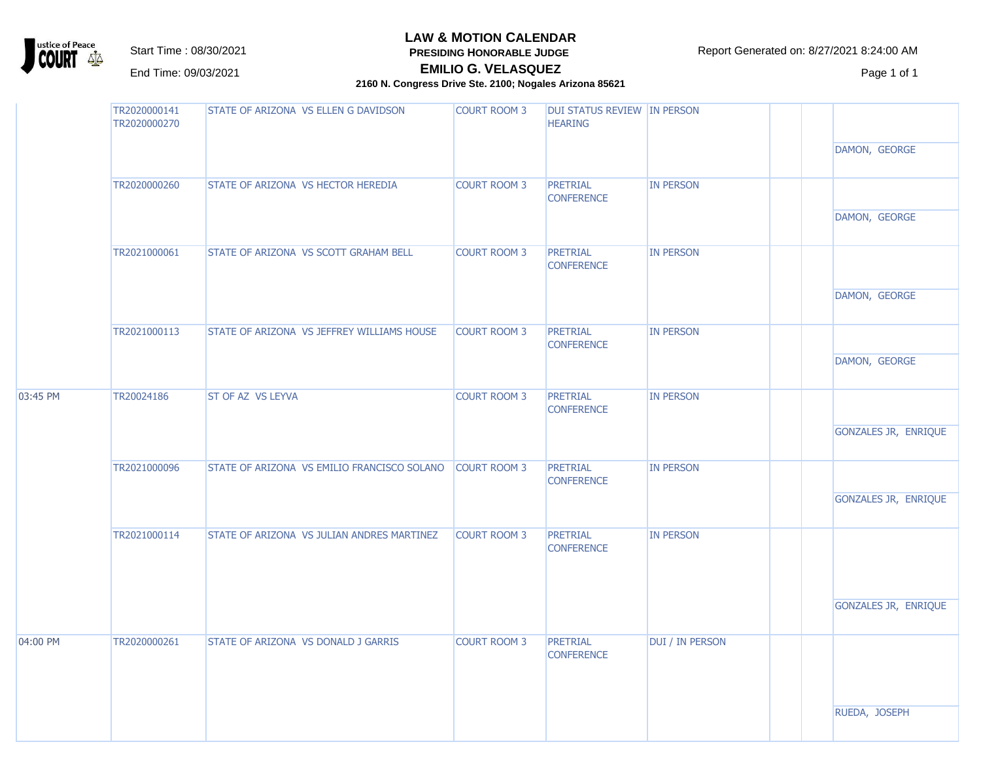ustice of Peace<br>**COURT** 42  $\Delta \Delta$ 

**LAW & MOTION CALENDAR**

**PRESIDING HONORABLE JUDGE** 

Start Time : 08/30/2021 **RESIDING HONORABLE JUDGE** Report Generated on: 8/27/2021 8:24:00 AM

EMILIO G. VELASQUEZ ENTERTAINMENT Page 1 of 1

#### **EMILIO G. VELASQUEZ 2160 N. Congress Drive Ste. 2100; Nogales Arizona 85621**

|          | TR2020000141<br>TR2020000270 | STATE OF ARIZONA VS ELLEN G DAVIDSON        | <b>COURT ROOM 3</b> | DUI STATUS REVIEW IN PERSON<br><b>HEARING</b> |                        | DAMON, GEORGE        |
|----------|------------------------------|---------------------------------------------|---------------------|-----------------------------------------------|------------------------|----------------------|
|          | TR2020000260                 | STATE OF ARIZONA VS HECTOR HEREDIA          | <b>COURT ROOM 3</b> | PRETRIAL<br><b>CONFERENCE</b>                 | <b>IN PERSON</b>       | DAMON, GEORGE        |
|          | TR2021000061                 | STATE OF ARIZONA VS SCOTT GRAHAM BELL       | <b>COURT ROOM 3</b> | <b>PRETRIAL</b><br><b>CONFERENCE</b>          | <b>IN PERSON</b>       | DAMON, GEORGE        |
|          | TR2021000113                 | STATE OF ARIZONA VS JEFFREY WILLIAMS HOUSE  | <b>COURT ROOM 3</b> | PRETRIAL<br><b>CONFERENCE</b>                 | <b>IN PERSON</b>       | DAMON, GEORGE        |
| 03:45 PM | TR20024186                   | ST OF AZ VS LEYVA                           | <b>COURT ROOM 3</b> | PRETRIAL<br><b>CONFERENCE</b>                 | <b>IN PERSON</b>       | GONZALES JR, ENRIQUE |
|          | TR2021000096                 | STATE OF ARIZONA VS EMILIO FRANCISCO SOLANO | <b>COURT ROOM 3</b> | PRETRIAL<br><b>CONFERENCE</b>                 | <b>IN PERSON</b>       | GONZALES JR, ENRIQUE |
|          | TR2021000114                 | STATE OF ARIZONA VS JULIAN ANDRES MARTINEZ  | <b>COURT ROOM 3</b> | <b>PRETRIAL</b><br><b>CONFERENCE</b>          | <b>IN PERSON</b>       |                      |
|          |                              |                                             |                     |                                               |                        | GONZALES JR, ENRIQUE |
| 04:00 PM | TR2020000261                 | STATE OF ARIZONA VS DONALD J GARRIS         | <b>COURT ROOM 3</b> | PRETRIAL<br><b>CONFERENCE</b>                 | <b>DUI / IN PERSON</b> |                      |
|          |                              |                                             |                     |                                               |                        | RUEDA, JOSEPH        |
|          |                              |                                             |                     |                                               |                        |                      |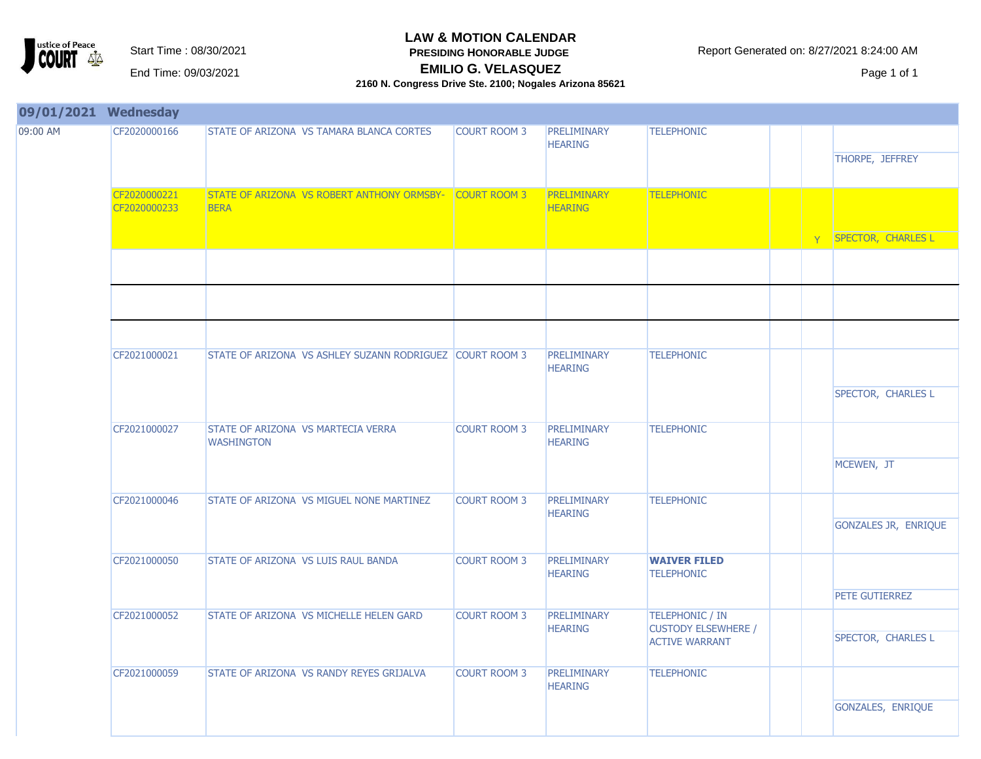

**PRESIDING HONORABLE JUDGE** 

**EMILIO G. VELASQUEZ** EMILIO G. VELASQUEZ ENTERTAINMENT Page 1 of 1

| 09/01/2021 Wednesday |                              |                                                           |                     |                                      |                                                                               |   |                             |
|----------------------|------------------------------|-----------------------------------------------------------|---------------------|--------------------------------------|-------------------------------------------------------------------------------|---|-----------------------------|
| 09:00 AM             | CF2020000166                 | STATE OF ARIZONA VS TAMARA BLANCA CORTES                  | <b>COURT ROOM 3</b> | PRELIMINARY<br><b>HEARING</b>        | <b>TELEPHONIC</b>                                                             |   | THORPE, JEFFREY             |
|                      | CF2020000221<br>CF2020000233 | STATE OF ARIZONA VS ROBERT ANTHONY ORMSBY-<br><b>BERA</b> | <b>COURT ROOM 3</b> | <b>PRELIMINARY</b><br><b>HEARING</b> | <b>TELEPHONIC</b>                                                             |   |                             |
|                      |                              |                                                           |                     |                                      |                                                                               | Y | SPECTOR, CHARLES L          |
|                      |                              |                                                           |                     |                                      |                                                                               |   |                             |
|                      | CF2021000021                 | STATE OF ARIZONA VS ASHLEY SUZANN RODRIGUEZ COURT ROOM 3  |                     | <b>PRELIMINARY</b><br><b>HEARING</b> | <b>TELEPHONIC</b>                                                             |   | SPECTOR, CHARLES L          |
|                      | CF2021000027                 | STATE OF ARIZONA VS MARTECIA VERRA<br><b>WASHINGTON</b>   | <b>COURT ROOM 3</b> | <b>PRELIMINARY</b><br><b>HEARING</b> | <b>TELEPHONIC</b>                                                             |   | MCEWEN, JT                  |
|                      | CF2021000046                 | STATE OF ARIZONA VS MIGUEL NONE MARTINEZ                  | <b>COURT ROOM 3</b> | <b>PRELIMINARY</b><br><b>HEARING</b> | <b>TELEPHONIC</b>                                                             |   | <b>GONZALES JR, ENRIQUE</b> |
|                      | CF2021000050                 | STATE OF ARIZONA VS LUIS RAUL BANDA                       | <b>COURT ROOM 3</b> | <b>PRELIMINARY</b><br><b>HEARING</b> | <b>WAIVER FILED</b><br><b>TELEPHONIC</b>                                      |   | PETE GUTIERREZ              |
|                      | CF2021000052                 | STATE OF ARIZONA VS MICHELLE HELEN GARD                   | <b>COURT ROOM 3</b> | <b>PRELIMINARY</b><br><b>HEARING</b> | <b>TELEPHONIC / IN</b><br><b>CUSTODY ELSEWHERE /</b><br><b>ACTIVE WARRANT</b> |   | SPECTOR, CHARLES L          |
|                      | CF2021000059                 | STATE OF ARIZONA VS RANDY REYES GRIJALVA                  | <b>COURT ROOM 3</b> | PRELIMINARY<br><b>HEARING</b>        | <b>TELEPHONIC</b>                                                             |   | GONZALES, ENRIQUE           |
|                      |                              |                                                           |                     |                                      |                                                                               |   |                             |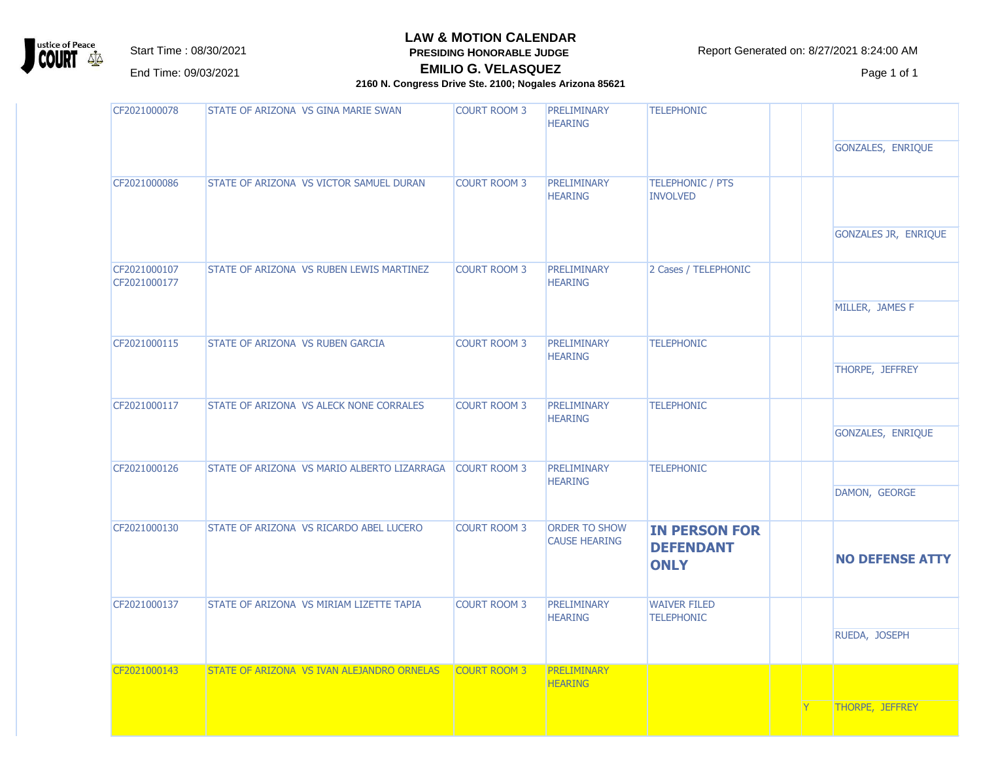

**PRESIDING HONORABLE JUDGE** 

Start Time : 08/30/2021 **Report Generated on: 8/27/2021 8:24:00 AM** 

**EMILIO G. VELASQUEZ** EMILIO G. VELASQUEZ ENTERTAINMENT Page 1 of 1

| CF2021000078                 | STATE OF ARIZONA VS GINA MARIE SWAN         | <b>COURT ROOM 3</b> | <b>PRELIMINARY</b><br><b>HEARING</b>         | <b>TELEPHONIC</b>                                       |  |                        |
|------------------------------|---------------------------------------------|---------------------|----------------------------------------------|---------------------------------------------------------|--|------------------------|
|                              |                                             |                     |                                              |                                                         |  | GONZALES, ENRIQUE      |
| CF2021000086                 | STATE OF ARIZONA VS VICTOR SAMUEL DURAN     | <b>COURT ROOM 3</b> | <b>PRELIMINARY</b><br><b>HEARING</b>         | <b>TELEPHONIC / PTS</b><br><b>INVOLVED</b>              |  |                        |
|                              |                                             |                     |                                              |                                                         |  | GONZALES JR, ENRIQUE   |
| CF2021000107<br>CF2021000177 | STATE OF ARIZONA VS RUBEN LEWIS MARTINEZ    | <b>COURT ROOM 3</b> | <b>PRELIMINARY</b><br><b>HEARING</b>         | 2 Cases / TELEPHONIC                                    |  |                        |
|                              |                                             |                     |                                              |                                                         |  | MILLER, JAMES F        |
| CF2021000115                 | STATE OF ARIZONA VS RUBEN GARCIA            | <b>COURT ROOM 3</b> | PRELIMINARY<br><b>HEARING</b>                | <b>TELEPHONIC</b>                                       |  |                        |
|                              |                                             |                     |                                              |                                                         |  | THORPE, JEFFREY        |
| CF2021000117                 | STATE OF ARIZONA VS ALECK NONE CORRALES     | <b>COURT ROOM 3</b> | <b>PRELIMINARY</b><br><b>HEARING</b>         | <b>TELEPHONIC</b>                                       |  |                        |
|                              |                                             |                     |                                              |                                                         |  | GONZALES, ENRIQUE      |
| CF2021000126                 | STATE OF ARIZONA VS MARIO ALBERTO LIZARRAGA | <b>COURT ROOM 3</b> | PRELIMINARY<br><b>HEARING</b>                | <b>TELEPHONIC</b>                                       |  |                        |
|                              |                                             |                     |                                              |                                                         |  | DAMON, GEORGE          |
| CF2021000130                 | STATE OF ARIZONA VS RICARDO ABEL LUCERO     | <b>COURT ROOM 3</b> | <b>ORDER TO SHOW</b><br><b>CAUSE HEARING</b> | <b>IN PERSON FOR</b><br><b>DEFENDANT</b><br><b>ONLY</b> |  | <b>NO DEFENSE ATTY</b> |
| CF2021000137                 | STATE OF ARIZONA VS MIRIAM LIZETTE TAPIA    | <b>COURT ROOM 3</b> | <b>PRELIMINARY</b><br><b>HEARING</b>         | <b>WAIVER FILED</b><br><b>TELEPHONIC</b>                |  |                        |
|                              |                                             |                     |                                              |                                                         |  | RUEDA, JOSEPH          |
| CF2021000143                 | STATE OF ARIZONA VS IVAN ALEJANDRO ORNELAS  | <b>COURT ROOM 3</b> | <b>PRELIMINARY</b><br><b>HEARING</b>         |                                                         |  |                        |
|                              |                                             |                     |                                              |                                                         |  | <b>THORPE, JEFFREY</b> |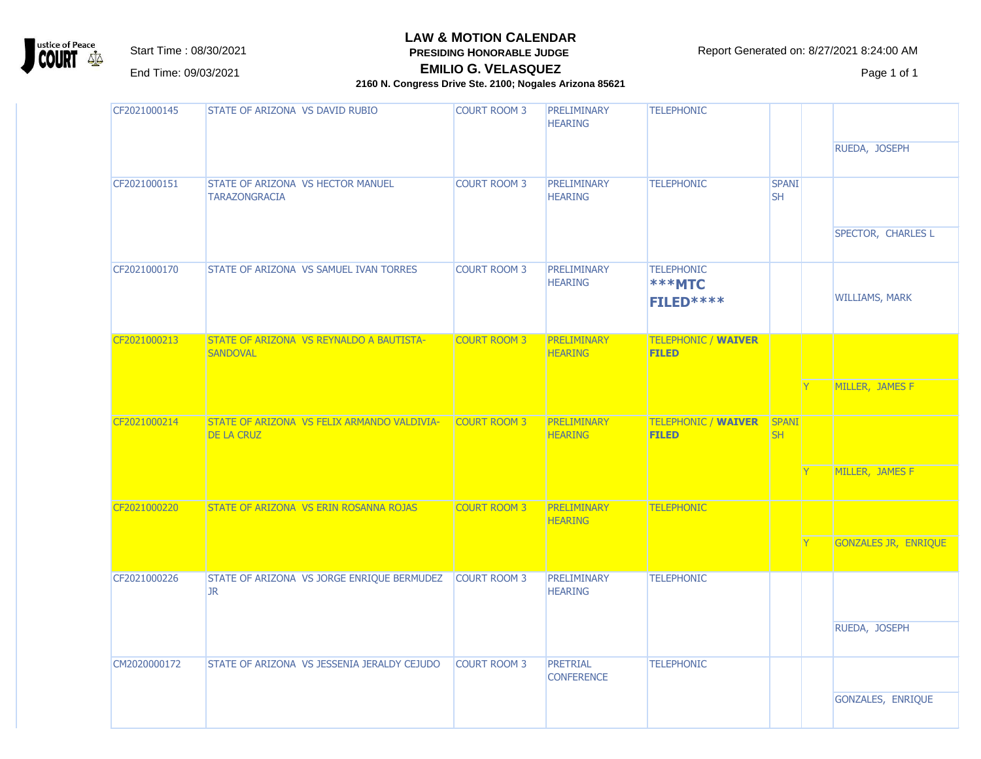

**PRESIDING HONORABLE JUDGE** 

Start Time : 08/30/2021 **Report Generated on: 8/27/2021 8:24:00 AM** 

**EMILIO G. VELASQUEZ** EMILIO G. VELASQUEZ ENTERTAINMENT Page 1 of 1

| CF2021000145 | STATE OF ARIZONA VS DAVID RUBIO                                  | <b>COURT ROOM 3</b> | <b>PRELIMINARY</b><br><b>HEARING</b> | <b>TELEPHONIC</b>                               |                           |                       |
|--------------|------------------------------------------------------------------|---------------------|--------------------------------------|-------------------------------------------------|---------------------------|-----------------------|
|              |                                                                  |                     |                                      |                                                 |                           | RUEDA, JOSEPH         |
| CF2021000151 | STATE OF ARIZONA VS HECTOR MANUEL<br><b>TARAZONGRACIA</b>        | <b>COURT ROOM 3</b> | PRELIMINARY<br><b>HEARING</b>        | <b>TELEPHONIC</b>                               | <b>SPANI</b><br><b>SH</b> |                       |
|              |                                                                  |                     |                                      |                                                 |                           | SPECTOR, CHARLES L    |
| CF2021000170 | STATE OF ARIZONA VS SAMUEL IVAN TORRES                           | <b>COURT ROOM 3</b> | <b>PRELIMINARY</b><br><b>HEARING</b> | <b>TELEPHONIC</b><br><b>***MTC</b><br>FILED**** |                           | <b>WILLIAMS, MARK</b> |
| CF2021000213 | STATE OF ARIZONA VS REYNALDO A BAUTISTA-<br><b>SANDOVAL</b>      | <b>COURT ROOM 3</b> | <b>PRELIMINARY</b><br><b>HEARING</b> | <b>TELEPHONIC / WAIVER</b><br><b>FILED</b>      |                           |                       |
|              |                                                                  |                     |                                      |                                                 |                           | MILLER, JAMES F       |
| CF2021000214 | STATE OF ARIZONA VS FELIX ARMANDO VALDIVIA-<br><b>DE LA CRUZ</b> | <b>COURT ROOM 3</b> | <b>PRELIMINARY</b><br><b>HEARING</b> | <b>TELEPHONIC / WAIVER</b><br><b>FILED</b>      | <b>SPANI</b><br><b>SH</b> |                       |
|              |                                                                  |                     |                                      |                                                 |                           | MILLER, JAMES F       |
| CF2021000220 | STATE OF ARIZONA VS ERIN ROSANNA ROJAS                           | <b>COURT ROOM 3</b> | <b>PRELIMINARY</b><br><b>HEARING</b> | <b>TELEPHONIC</b>                               |                           |                       |
|              |                                                                  |                     |                                      |                                                 |                           | GONZALES JR, ENRIQUE  |
| CF2021000226 | STATE OF ARIZONA VS JORGE ENRIQUE BERMUDEZ<br><b>JR</b>          | <b>COURT ROOM 3</b> | PRELIMINARY<br><b>HEARING</b>        | <b>TELEPHONIC</b>                               |                           |                       |
|              |                                                                  |                     |                                      |                                                 |                           | RUEDA, JOSEPH         |
| CM2020000172 | STATE OF ARIZONA VS JESSENIA JERALDY CEJUDO                      | <b>COURT ROOM 3</b> | <b>PRETRIAL</b><br><b>CONFERENCE</b> | <b>TELEPHONIC</b>                               |                           |                       |
|              |                                                                  |                     |                                      |                                                 |                           | GONZALES, ENRIQUE     |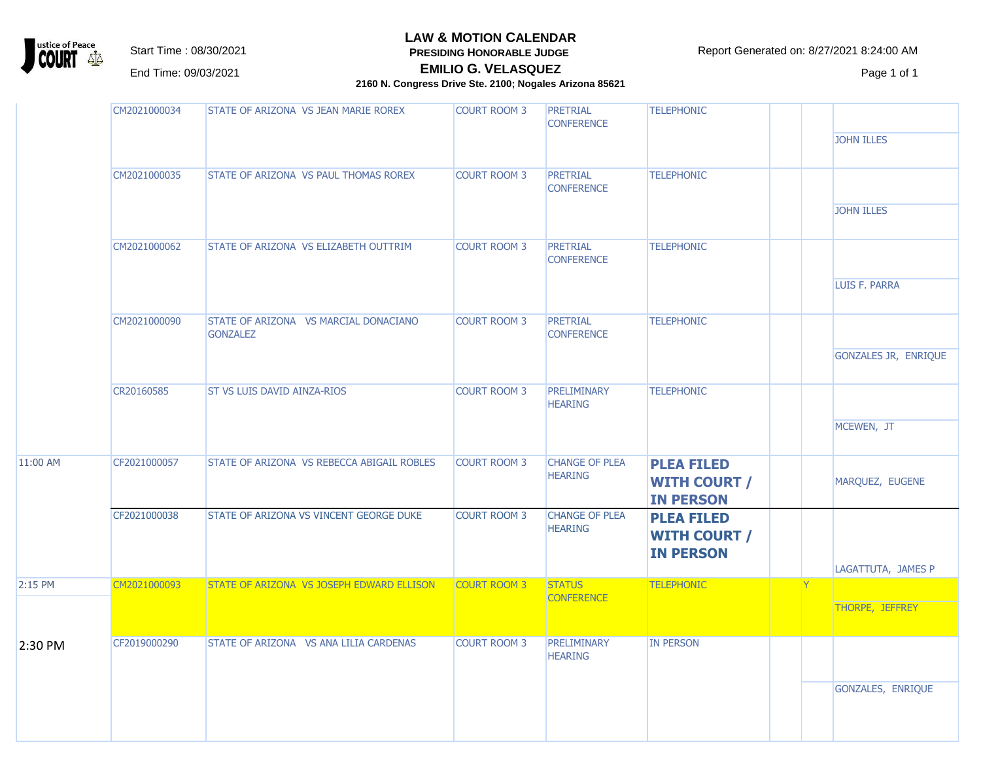

**PRESIDING HONORABLE JUDGE** 

Start Time : 08/30/2021 **RESIDING HONORABLE JUDGE** Report Generated on: 8/27/2021 8:24:00 AM

**EMILIO G. VELASQUEZ** EMILIO G. VELASQUEZ ENTERTAINMENT Page 1 of 1

|          | CM2021000034 | STATE OF ARIZONA VS JEAN MARIE ROREX                     | <b>COURT ROOM 3</b> | PRETRIAL<br><b>CONFERENCE</b>           | <b>TELEPHONIC</b>                                            |     |                      |
|----------|--------------|----------------------------------------------------------|---------------------|-----------------------------------------|--------------------------------------------------------------|-----|----------------------|
|          |              |                                                          |                     |                                         |                                                              |     | <b>JOHN ILLES</b>    |
|          | CM2021000035 | STATE OF ARIZONA VS PAUL THOMAS ROREX                    | <b>COURT ROOM 3</b> | <b>PRETRIAL</b><br><b>CONFERENCE</b>    | <b>TELEPHONIC</b>                                            |     |                      |
|          |              |                                                          |                     |                                         |                                                              |     | <b>JOHN ILLES</b>    |
|          | CM2021000062 | STATE OF ARIZONA VS ELIZABETH OUTTRIM                    | <b>COURT ROOM 3</b> | <b>PRETRIAL</b><br><b>CONFERENCE</b>    | <b>TELEPHONIC</b>                                            |     |                      |
|          |              |                                                          |                     |                                         |                                                              |     | LUIS F. PARRA        |
|          | CM2021000090 | STATE OF ARIZONA VS MARCIAL DONACIANO<br><b>GONZALEZ</b> | <b>COURT ROOM 3</b> | <b>PRETRIAL</b><br><b>CONFERENCE</b>    | <b>TELEPHONIC</b>                                            |     |                      |
|          |              |                                                          |                     |                                         |                                                              |     | GONZALES JR, ENRIQUE |
|          | CR20160585   | <b>ST VS LUIS DAVID AINZA-RIOS</b>                       | <b>COURT ROOM 3</b> | PRELIMINARY<br><b>HEARING</b>           | <b>TELEPHONIC</b>                                            |     |                      |
|          |              |                                                          |                     |                                         |                                                              |     | MCEWEN, JT           |
| 11:00 AM | CF2021000057 | STATE OF ARIZONA VS REBECCA ABIGAIL ROBLES               | <b>COURT ROOM 3</b> | <b>CHANGE OF PLEA</b><br><b>HEARING</b> | <b>PLEA FILED</b><br><b>WITH COURT /</b><br><b>IN PERSON</b> |     | MARQUEZ, EUGENE      |
|          | CF2021000038 | STATE OF ARIZONA VS VINCENT GEORGE DUKE                  | <b>COURT ROOM 3</b> | <b>CHANGE OF PLEA</b><br><b>HEARING</b> | <b>PLEA FILED</b><br><b>WITH COURT /</b><br><b>IN PERSON</b> |     |                      |
|          |              |                                                          |                     |                                         |                                                              |     | LAGATTUTA, JAMES P   |
| 2:15 PM  | CM2021000093 | STATE OF ARIZONA VS JOSEPH EDWARD ELLISON                | <b>COURT ROOM 3</b> | <b>STATUS</b><br><b>CONFERENCE</b>      | <b>TELEPHONIC</b>                                            | IY. | THORPE, JEFFREY      |
|          |              |                                                          |                     |                                         |                                                              |     |                      |
| 2:30 PM  | CF2019000290 | STATE OF ARIZONA VS ANA LILIA CARDENAS                   | <b>COURT ROOM 3</b> | <b>PRELIMINARY</b><br><b>HEARING</b>    | <b>IN PERSON</b>                                             |     |                      |
|          |              |                                                          |                     |                                         |                                                              |     | GONZALES, ENRIQUE    |